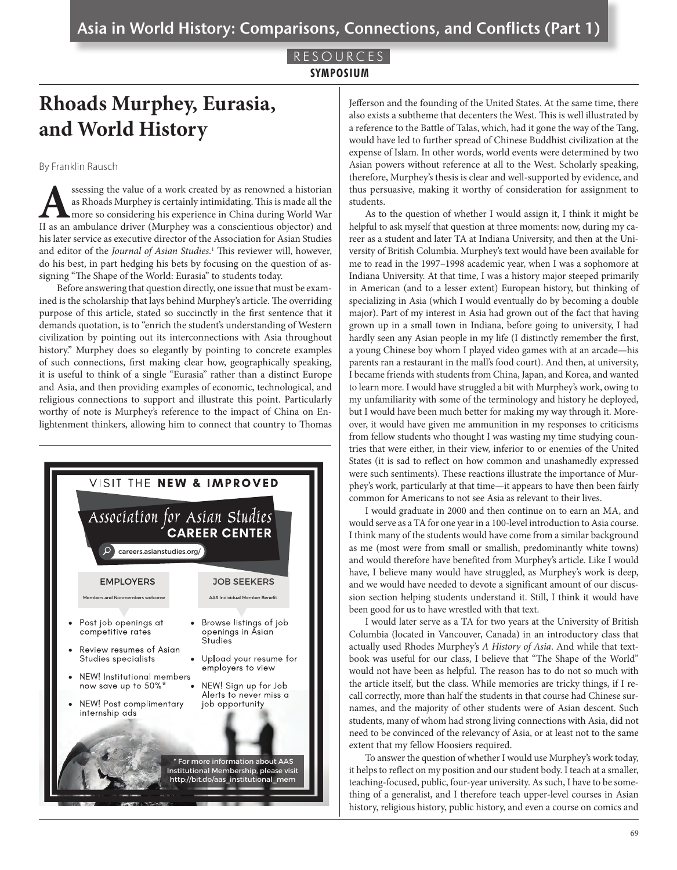## RESOURCES **SYMPOSIUM**

## **Rhoads Murphey, Eurasia, and World History**

By Franklin Rausch

ssessing the value of a work created by as renowned a historian as Rhoads Murphey is certainly intimidating. This is made all the more so considering his experience in China during World War II as an ambulance driver (Murphey was a conscientious objector) and his later service as executive director of the Association for Asian Studies and editor of the *Journal of Asian Studies*. 1 This reviewer will, however, do his best, in part hedging his bets by focusing on the question of assigning "The Shape of the World: Eurasia" to students today.

Before answering that question directly, one issue that must be examined is the scholarship that lays behind Murphey's article. The overriding purpose of this article, stated so succinctly in the first sentence that it demands quotation, is to "enrich the student's understanding of Western civilization by pointing out its interconnections with Asia throughout history." Murphey does so elegantly by pointing to concrete examples of such connections, first making clear how, geographically speaking, it is useful to think of a single "Eurasia" rather than a distinct Europe and Asia, and then providing examples of economic, technological, and religious connections to support and illustrate this point. Particularly worthy of note is Murphey's reference to the impact of China on Enlightenment thinkers, allowing him to connect that country to Thomas



Jefferson and the founding of the United States. At the same time, there also exists a subtheme that decenters the West. This is well illustrated by a reference to the Battle of Talas, which, had it gone the way of the Tang, would have led to further spread of Chinese Buddhist civilization at the expense of Islam. In other words, world events were determined by two Asian powers without reference at all to the West. Scholarly speaking, therefore, Murphey's thesis is clear and well-supported by evidence, and thus persuasive, making it worthy of consideration for assignment to students.

As to the question of whether I would assign it, I think it might be helpful to ask myself that question at three moments: now, during my career as a student and later TA at Indiana University, and then at the University of British Columbia. Murphey's text would have been available for me to read in the 1997–1998 academic year, when I was a sophomore at Indiana University. At that time, I was a history major steeped primarily in American (and to a lesser extent) European history, but thinking of specializing in Asia (which I would eventually do by becoming a double major). Part of my interest in Asia had grown out of the fact that having grown up in a small town in Indiana, before going to university, I had hardly seen any Asian people in my life (I distinctly remember the first, a young Chinese boy whom I played video games with at an arcade—his parents ran a restaurant in the mall's food court). And then, at university, I became friends with students from China, Japan, and Korea, and wanted to learn more. I would have struggled a bit with Murphey's work, owing to my unfamiliarity with some of the terminology and history he deployed, but I would have been much better for making my way through it. Moreover, it would have given me ammunition in my responses to criticisms from fellow students who thought I was wasting my time studying countries that were either, in their view, inferior to or enemies of the United States (it is sad to reflect on how common and unashamedly expressed were such sentiments). These reactions illustrate the importance of Murphey's work, particularly at that time—it appears to have then been fairly common for Americans to not see Asia as relevant to their lives.

I would graduate in 2000 and then continue on to earn an MA, and would serve as a TA for one year in a 100-level introduction to Asia course. I think many of the students would have come from a similar background as me (most were from small or smallish, predominantly white towns) and would therefore have benefited from Murphey's article. Like I would have, I believe many would have struggled, as Murphey's work is deep, and we would have needed to devote a significant amount of our discussion section helping students understand it. Still, I think it would have been good for us to have wrestled with that text.

I would later serve as a TA for two years at the University of British Columbia (located in Vancouver, Canada) in an introductory class that actually used Rhodes Murphey's *A History of Asia*. And while that textbook was useful for our class, I believe that "The Shape of the World" would not have been as helpful. The reason has to do not so much with the article itself, but the class. While memories are tricky things, if I recall correctly, more than half the students in that course had Chinese surnames, and the majority of other students were of Asian descent. Such students, many of whom had strong living connections with Asia, did not need to be convinced of the relevancy of Asia, or at least not to the same extent that my fellow Hoosiers required.

To answer the question of whether I would use Murphey's work today, it helps to reflect on my position and our student body. I teach at a smaller, teaching-focused, public, four-year university. As such, I have to be something of a generalist, and I therefore teach upper-level courses in Asian history, religious history, public history, and even a course on comics and